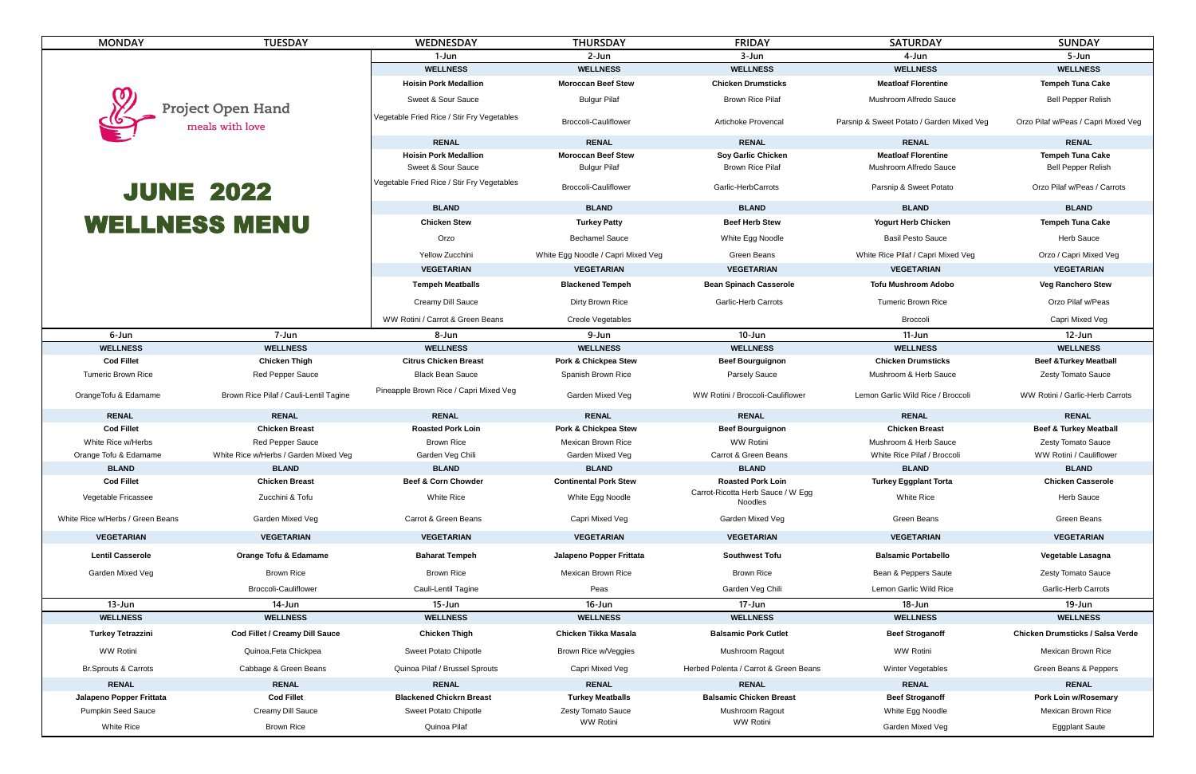| <b>MONDAY</b>                            | <b>TUESDAY</b>                         | <b>WEDNESDAY</b>                             | <b>THURSDAY</b>                    | <b>FRIDAY</b>                                       | <b>SATURDAY</b>                           | <b>SUNDAY</b>                           |
|------------------------------------------|----------------------------------------|----------------------------------------------|------------------------------------|-----------------------------------------------------|-------------------------------------------|-----------------------------------------|
|                                          |                                        | 1-Jun                                        | 2-Jun                              | 3-Jun                                               | 4-Jun                                     | 5-Jun                                   |
| Project Open Hand<br>meals with love     |                                        | <b>WELLNESS</b>                              | <b>WELLNESS</b>                    | <b>WELLNESS</b>                                     | <b>WELLNESS</b>                           | <b>WELLNESS</b>                         |
|                                          |                                        | <b>Hoisin Pork Medallion</b>                 | <b>Moroccan Beef Stew</b>          | <b>Chicken Drumsticks</b>                           | <b>Meatloaf Florentine</b>                | <b>Tempeh Tuna Cake</b>                 |
|                                          |                                        | <b>Sweet &amp; Sour Sauce</b>                | <b>Bulgur Pilaf</b>                | <b>Brown Rice Pilaf</b>                             | <b>Mushroom Alfredo Sauce</b>             | <b>Bell Pepper Relish</b>               |
|                                          |                                        | Vegetable Fried Rice / Stir Fry Vegetables   | <b>Broccoli-Cauliflower</b>        | <b>Artichoke Provencal</b>                          | Parsnip & Sweet Potato / Garden Mixed Veg | Orzo Pilaf w/Peas / Capri Mixed Veg     |
|                                          |                                        | <b>RENAL</b>                                 | <b>RENAL</b>                       | <b>RENAL</b>                                        | <b>RENAL</b>                              | <b>RENAL</b>                            |
|                                          |                                        | <b>Hoisin Pork Medallion</b>                 | <b>Moroccan Beef Stew</b>          | <b>Soy Garlic Chicken</b>                           | <b>Meatloaf Florentine</b>                | <b>Tempeh Tuna Cake</b>                 |
|                                          |                                        | <b>Sweet &amp; Sour Sauce</b>                | <b>Bulgur Pilaf</b>                | <b>Brown Rice Pilaf</b>                             | <b>Mushroom Alfredo Sauce</b>             | <b>Bell Pepper Relish</b>               |
| <b>JUNE 2022</b><br><b>WELLNESS MENU</b> |                                        | Vegetable Fried Rice / Stir Fry Vegetables   | <b>Broccoli-Cauliflower</b>        | <b>Garlic-HerbCarrots</b>                           | Parsnip & Sweet Potato                    | Orzo Pilaf w/Peas / Carrots             |
|                                          |                                        | <b>BLAND</b>                                 | <b>BLAND</b>                       | <b>BLAND</b>                                        | <b>BLAND</b>                              | <b>BLAND</b>                            |
|                                          |                                        | <b>Chicken Stew</b>                          | <b>Turkey Patty</b>                | <b>Beef Herb Stew</b>                               | <b>Yogurt Herb Chicken</b>                | <b>Tempeh Tuna Cake</b>                 |
|                                          |                                        | Orzo                                         | <b>Bechamel Sauce</b>              | White Egg Noodle                                    | <b>Basil Pesto Sauce</b>                  | <b>Herb Sauce</b>                       |
|                                          |                                        | Yellow Zucchini                              | White Egg Noodle / Capri Mixed Veg | <b>Green Beans</b>                                  | White Rice Pilaf / Capri Mixed Veg        | Orzo / Capri Mixed Veg                  |
|                                          |                                        |                                              | <b>VEGETARIAN</b>                  | <b>VEGETARIAN</b>                                   | <b>VEGETARIAN</b>                         | <b>VEGETARIAN</b>                       |
|                                          |                                        | <b>VEGETARIAN</b><br><b>Tempeh Meatballs</b> | <b>Blackened Tempeh</b>            | <b>Bean Spinach Casserole</b>                       | <b>Tofu Mushroom Adobo</b>                | <b>Veg Ranchero Stew</b>                |
|                                          |                                        | <b>Creamy Dill Sauce</b>                     | Dirty Brown Rice                   | <b>Garlic-Herb Carrots</b>                          | <b>Tumeric Brown Rice</b>                 | Orzo Pilaf w/Peas                       |
|                                          |                                        | WW Rotini / Carrot & Green Beans             | <b>Creole Vegetables</b>           |                                                     | Broccoli                                  | Capri Mixed Veg                         |
| 6-Jun                                    | 7-Jun                                  | 8-Jun                                        | 9-Jun                              | $10 - Jun$                                          | $11-Jun$                                  | $12$ -Jun                               |
| <b>WELLNESS</b>                          | <b>WELLNESS</b>                        | <b>WELLNESS</b>                              | <b>WELLNESS</b>                    | <b>WELLNESS</b>                                     | <b>WELLNESS</b>                           | <b>WELLNESS</b>                         |
| <b>Cod Fillet</b>                        | <b>Chicken Thigh</b>                   | <b>Citrus Chicken Breast</b>                 | <b>Pork &amp; Chickpea Stew</b>    | <b>Beef Bourguignon</b>                             | <b>Chicken Drumsticks</b>                 | <b>Beef &amp; Turkey Meatball</b>       |
| <b>Tumeric Brown Rice</b>                | <b>Red Pepper Sauce</b>                | <b>Black Bean Sauce</b>                      | <b>Spanish Brown Rice</b>          | <b>Parsely Sauce</b>                                | Mushroom & Herb Sauce                     | <b>Zesty Tomato Sauce</b>               |
| OrangeTofu & Edamame                     | Brown Rice Pilaf / Cauli-Lentil Tagine | Pineapple Brown Rice / Capri Mixed Veg       | <b>Garden Mixed Veg</b>            | WW Rotini / Broccoli-Cauliflower                    | Lemon Garlic Wild Rice / Broccoli         | WW Rotini / Garlic-Herb Carrots         |
| <b>RENAL</b>                             | <b>RENAL</b>                           | <b>RENAL</b>                                 | <b>RENAL</b>                       | <b>RENAL</b>                                        | <b>RENAL</b>                              | <b>RENAL</b>                            |
| <b>Cod Fillet</b>                        | <b>Chicken Breast</b>                  | <b>Roasted Pork Loin</b>                     | <b>Pork &amp; Chickpea Stew</b>    | <b>Beef Bourguignon</b>                             | <b>Chicken Breast</b>                     | <b>Beef &amp; Turkey Meatball</b>       |
| White Rice w/Herbs                       | <b>Red Pepper Sauce</b>                | <b>Brown Rice</b>                            | <b>Mexican Brown Rice</b>          | <b>WW Rotini</b>                                    | Mushroom & Herb Sauce                     | <b>Zesty Tomato Sauce</b>               |
| Orange Tofu & Edamame                    | White Rice w/Herbs / Garden Mixed Veg  | Garden Veg Chili                             | Garden Mixed Veg                   | Carrot & Green Beans                                | White Rice Pilaf / Broccoli               | WW Rotini / Cauliflower                 |
| <b>BLAND</b>                             | <b>BLAND</b>                           | <b>BLAND</b>                                 | <b>BLAND</b>                       | <b>BLAND</b>                                        | <b>BLAND</b>                              | <b>BLAND</b>                            |
| <b>Cod Fillet</b>                        | <b>Chicken Breast</b>                  | <b>Beef &amp; Corn Chowder</b>               | <b>Continental Pork Stew</b>       | <b>Roasted Pork Loin</b>                            | <b>Turkey Eggplant Torta</b>              | <b>Chicken Casserole</b>                |
| Vegetable Fricassee                      | Zucchini & Tofu                        | <b>White Rice</b>                            | White Egg Noodle                   | Carrot-Ricotta Herb Sauce / W Egg<br><b>Noodles</b> | <b>White Rice</b>                         | <b>Herb Sauce</b>                       |
| White Rice w/Herbs / Green Beans         | <b>Garden Mixed Veg</b>                | <b>Carrot &amp; Green Beans</b>              | Capri Mixed Veg                    | Garden Mixed Veg                                    | <b>Green Beans</b>                        | <b>Green Beans</b>                      |
| <b>VEGETARIAN</b>                        | <b>VEGETARIAN</b>                      | <b>VEGETARIAN</b>                            | <b>VEGETARIAN</b>                  | <b>VEGETARIAN</b>                                   | <b>VEGETARIAN</b>                         | <b>VEGETARIAN</b>                       |
| <b>Lentil Casserole</b>                  | <b>Orange Tofu &amp; Edamame</b>       | <b>Baharat Tempeh</b>                        | <b>Jalapeno Popper Frittata</b>    | <b>Southwest Tofu</b>                               | <b>Balsamic Portabello</b>                | <b>Vegetable Lasagna</b>                |
| <b>Garden Mixed Veg</b>                  | <b>Brown Rice</b>                      | <b>Brown Rice</b>                            | <b>Mexican Brown Rice</b>          | <b>Brown Rice</b>                                   | Bean & Peppers Saute                      | <b>Zesty Tomato Sauce</b>               |
|                                          | <b>Broccoli-Cauliflower</b>            | <b>Cauli-Lentil Tagine</b>                   | Peas                               | Garden Veg Chili                                    | Lemon Garlic Wild Rice                    | <b>Garlic-Herb Carrots</b>              |
| $13 - Jun$                               | 14-Jun                                 | 15-Jun                                       | $16$ -Jun                          | 17-Jun                                              | $18 - Jun$                                | $19 - Jun$                              |
| <b>WELLNESS</b>                          | <b>WELLNESS</b>                        | <b>WELLNESS</b>                              | <b>WELLNESS</b>                    | <b>WELLNESS</b>                                     | <b>WELLNESS</b>                           | <b>WELLNESS</b>                         |
| <b>Turkey Tetrazzini</b>                 | <b>Cod Fillet / Creamy Dill Sauce</b>  | <b>Chicken Thigh</b>                         | <b>Chicken Tikka Masala</b>        | <b>Balsamic Pork Cutlet</b>                         | <b>Beef Stroganoff</b>                    | <b>Chicken Drumsticks / Salsa Verde</b> |
| <b>WW Rotini</b>                         | Quinoa, Feta Chickpea                  | <b>Sweet Potato Chipotle</b>                 | Brown Rice w/Veggies               | <b>Mushroom Ragout</b>                              | <b>WW Rotini</b>                          | <b>Mexican Brown Rice</b>               |
| <b>Br.Sprouts &amp; Carrots</b>          | Cabbage & Green Beans                  | Quinoa Pilaf / Brussel Sprouts               | Capri Mixed Veg                    | Herbed Polenta / Carrot & Green Beans               | <b>Winter Vegetables</b>                  | Green Beans & Peppers                   |
| <b>RENAL</b>                             | <b>RENAL</b>                           | <b>RENAL</b>                                 | <b>RENAL</b>                       | <b>RENAL</b>                                        | <b>RENAL</b>                              | <b>RENAL</b>                            |
| Jalapeno Popper Frittata                 | <b>Cod Fillet</b>                      | <b>Blackened Chickrn Breast</b>              | <b>Turkey Meatballs</b>            | <b>Balsamic Chicken Breast</b>                      | <b>Beef Stroganoff</b>                    | <b>Pork Loin w/Rosemary</b>             |
| <b>Pumpkin Seed Sauce</b>                | <b>Creamy Dill Sauce</b>               | <b>Sweet Potato Chipotle</b>                 | <b>Zesty Tomato Sauce</b>          | <b>Mushroom Ragout</b>                              | White Egg Noodle                          | <b>Mexican Brown Rice</b>               |
| White Rice                               | <b>Brown Rice</b>                      | Quinoa Pilaf                                 | WW Rotini                          | WW Rotini                                           | <b>Garden Mixed Veg</b>                   | <b>Eggplant Saute</b>                   |